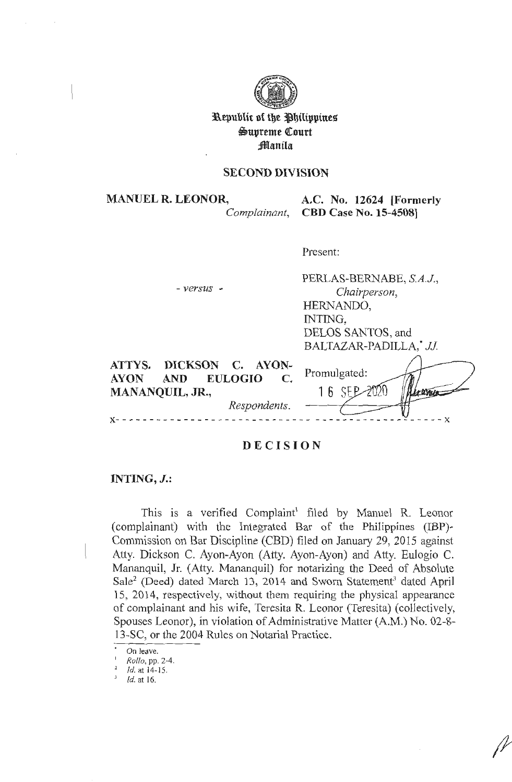

I **l\epublic of tbe l3bilippine~ \$S)upteme Qtourt ;Manila** 

# **SECOND DIVISION**

**MANUEL R. LEONOR, A.C. No. 12624 [Formerly**  *Complainant,* **CBD Case No. 15-4508]** 

Present:

| $-versus$ -                                                                                                       | PERLAS-BERNABE, S.A.J.,<br>Chairperson,<br>HERNANDO,<br>INTING,<br>DELOS SANTOS, and<br>BALTAZAR-PADILLA,* JJ. |
|-------------------------------------------------------------------------------------------------------------------|----------------------------------------------------------------------------------------------------------------|
| DICKSON C. AYON-<br>ATTYS.<br>AND EULOGIO<br><b>AYON</b><br>$\mathbf C$<br><b>MANANQUIL, JR.,</b><br>Respondents. | Promulgated:<br>16 SEP<br>Leaven                                                                               |

# **DECISION**

# **INTING, J.:**

This is a verified Complaint<sup>1</sup> filed by Manuel R. Leonor ( complainant) with the Integrated Bar of the Philippines (IBP)- Commission on Bar Discipline (CBD) filed on January 29, 2015 against Atty. Dickson C. Ayon-Ayon (Atty. Ayon-Ayon) and Atty. Eulogio C. Mananquil, Jr. (Atty. Mananquil) for notarizing the Deed of Absolute  $Sale<sup>2</sup>$  (Deed) dated March 13, 2014 and Sworn Statement<sup>3</sup> dated April 15, 2014, respectively, without them requiring the physical appearance of complainant and his wife, Teresita R. Leonor (Teresita) ( collectively, Spouses Leonor), in violation of Administrative Matter (A.M.) No. 02-8- 13-SC, or the 2004 Rules on Notarial Practice.

On leave.

<sup>1</sup>*Rollo,* pp. 2-4.

Id. at 14-15.

 $\frac{3}{4}$  *ld.* at 16.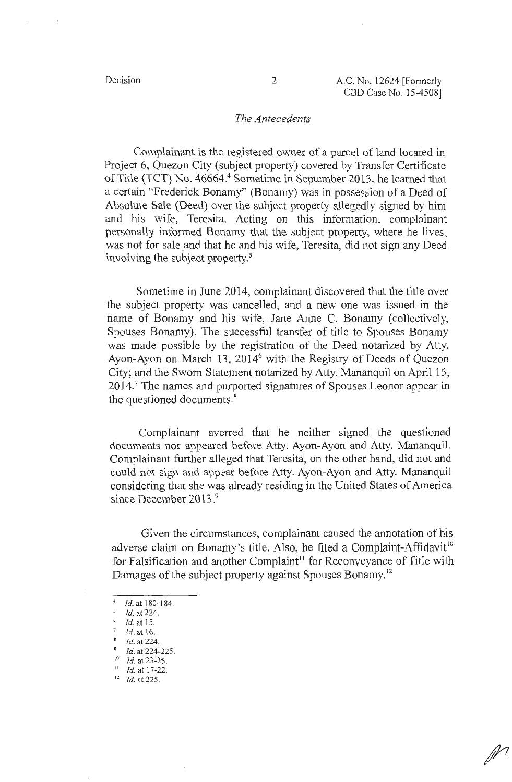*jl1* 

#### *The Antecedents*

Complainant is the registered owner of a parcel of land located in Project 6, Quezon City (subject property) covered by Transfer Certificate of Title (TCT) No. 46664.<sup>4</sup> Sometime in September 2013, he learned that a certain "Frederick Bonamy" (Bonamy) was in possession of a Deed of Absolute Sale (Deed) over the subject property allegedly signed by him and his wife, Teresita. Acting on this information, complainant personally informed Bonamy that the subject property, where he lives, was not for sale and that he and his wife, Teresita, did not sign any Deed involving the subject property.<sup>5</sup>

Sometime in June 2014, complainant discovered that the title over the subject property was cancelled, and a new one was issued in the name of Bonamy and his wife, Jane Anne C. Bonamy (collectively, Spouses Bonamy). The successful transfer of title to Spouses Bonamy was made possible by the registration of the Deed notarized by Atty. Ayon-Ayon on March 13, 2014<sup>6</sup> with the Registry of Deeds of Quezon City; and the Sworn Statement notarized by Atty. Mananquil on April 15,  $2014$ .<sup>7</sup> The names and purported signatures of Spouses Leonor appear in the questioned documents.<sup>8</sup>

Complainant averred that he neither signed the questioned documents nor appeared before Atty. Ayon-Ayon and Atty. Mananquil. Complainant further alleged that Teresita, on the other hand, did not and could not sign and appear before Atty. Ayon-Ayon and Atty. Mananquil considering that she was already residing in the United States of America since December 2013.<sup>9</sup>

Given the circumstances, complainant caused the annotation of his adverse claim on Bonamy's title. Also, he filed a Complaint-Affidavit<sup>10</sup> for Falsification and another Complaint<sup>11</sup> for Reconveyance of Title with Damages of the subject property against Spouses Bonamy. <sup>12</sup>

 $\mathbf{L}$ 

 $^{4}$  Id. at 180-184.

*<sup>5</sup>*Id. at 224.

 $\delta$  *Id.* at 15.

*<sup>1</sup>*Id. at 16.

Id. at 224.

 $9$  Id. at 224-225.

 $10$  Id. at 23-25.

 $11$  Id. at 17-22.

 $12$  Id. at 225.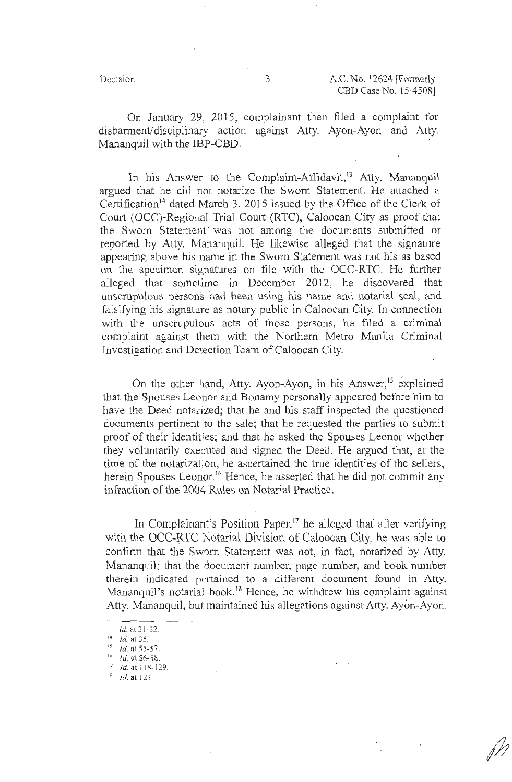f)

On January 29, 2015, complainant then filed a complaint for disbarment/disciplinary action against Atty. Ayon-Ayon and Atty. Mananquil with the IBP-CBD.

In his Answer to the Complaint-Affidavit,<sup>13</sup> Atty. Mananquil argued that he did not notarize the Sworn Statement. He attached a Certification<sup>14</sup> dated March 3, 2015 issued by the Office of the Clerk of Court (OCC)-Regional Trial Court (RTC), Caloocan City as proof that the Sworn Statement· was not among the documents submitted or reported by Atty. Mananquil. He likewise alleged that the signature appearing above his name in the Sworn Statement was not his as based on the specimen signatures on file with the OCC-RTC. He further alleged that sometime in December 2012, he discovered that unscrupulous persons had been using his name and notarial seal, and falsifying his signature as notary public in Caloocan City. In connection with the unscrupulous acts of those persons, he filed a criminal complaint against them with the Northern Metro Manila Criminal Investigation and Detection Team of Caloocan City.

On the other hand, Atty. Ayon-Ayon, in his Answer,<sup>15</sup> explained that the Spouses Leonor and Bonamy personally appeared before him to have the Deed notarized; that he and his staff inspected the questioned documents pertinent to the sale; that he requested the parties to submit proof of their identities; and that he asked the Spouses Leonor whether they voluntarily executed and signed the Deed. He argued that, at the time of the notarization, he ascertained the true identities of the sellers, herein Spouses Leonor.<sup>16</sup> Hence, he asserted that he did not commit any infraction of the 2004 Rules on Notarial Practice.

In Complainant's Position Paper,<sup>17</sup> he alleged that after verifying with the OCC-RTC Notarial Division of Caloocan City, he was able to confirm that the Sworn Statement was not, in fact, notarized by Atty. Mananquil; that the document number, page number, and book number therein indicated pertained to a different document found in Atty. Mananquil's notarial book.<sup>18</sup> Hence, he withdrew his complaint against Atty. Mananquil, but maintained his allegations against Atty. Ayon-Ayon.

 $\frac{12}{1}$  *Id.* at 55-57.

- $17$  Id. at 118-129.
- $^{18}$  Id. at 123.

 $13$  Id. at 31-32.

 $^{14}$  *Id.* at 35.

 $16$  Id. at 56-58.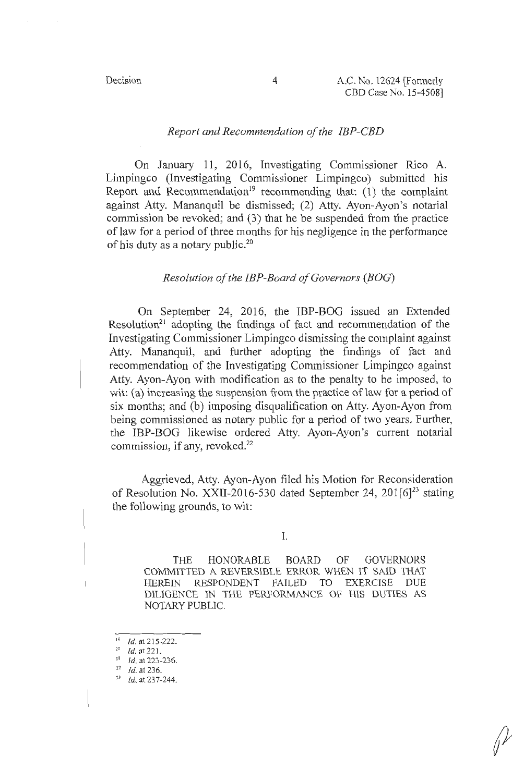*{fa* 

### *Report and Recommendation of the IBP-CBD*

On January 11, 2016, Investigating Commissioner Rico A. Limpingco (Investigating Commissioner Limpingco) submitted his Report and Recommendation<sup>19</sup> recommending that: (1) the complaint against Atty. Mananquil be dismissed; (2) Atty. Ayon-Ayon's notarial commission be revoked; and (3) that he be suspended from the practice of law for a period of three months for his negligence in the performance of his duty as a notary public.<sup>20</sup>

# *Resolution of the IBP-Board of Governors (BOG)*

On September 24, 2016, the IBP-BOG issued an Extended Resolution<sup>21</sup> adopting the findings of fact and recommendation of the Investigating Commissioner Limpingco dismissing the complaint against Atty. Mananquil, and further adopting the findings of fact and recommendation of the Investigating Commissioner Limpingco against Atty. Ayon-Ayon with modification as to the penalty to be imposed, to wit: (a) increasing the suspension from the practice of law for a period of six months; and (b) imposing disqualification on Atty. Ayon-Ayon from being commissioned as notary public for a period of two years. Further, the IBP-BOG likewise ordered Atty. Ayon-Ayon's current notarial commission, if any, revoked. $^{22}$ 

Aggrieved, Atty. Ayon-Ayon filed his Motion for Reconsideration of Resolution No. XXII-2016-530 dated September 24, 201 $[6]^{23}$  stating the following grounds, to wit:

I.

THE HONORABLE BOARD OF GOVERNORS COMMITTED A REVERSIBLE ERROR WHEN IT SAID THAT HEREIN RESPONDENT FAILED TO EXERCISE DUE DILIGENCE IN THE PERFORMANCE OF HIS DUTIES AS NOTARY PUBLIC.

<sup>&</sup>lt;sup>19</sup> *Id.* at 215-222.

<sup>20</sup>*Id.* at 22 1.

<sup>&</sup>lt;sup>21</sup> *Id.* at 223-236.

*<sup>11</sup> Id.* at 236.

 $^{23}$  Id. at 237-244.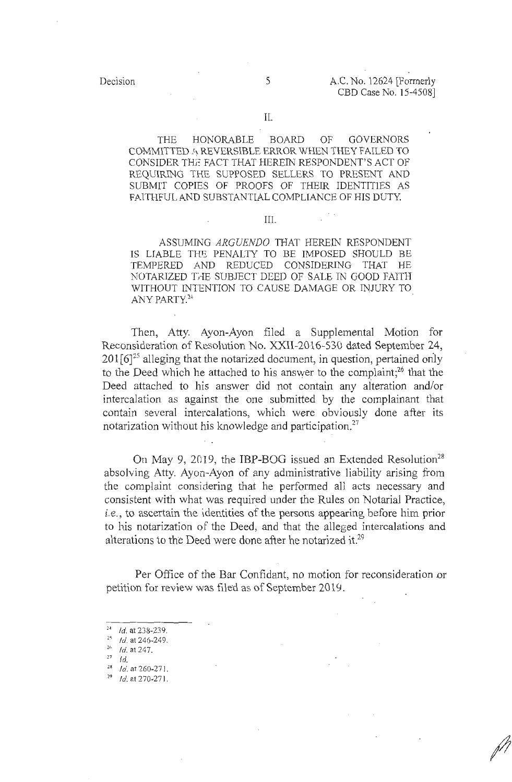/I

THE HONORABLE BOARD OF GOVERNORS COMMITTED A. REVERSIBLE ERROR WHEN THEY FAILED TO CONSIDER THE FACT THAT HEREIN RESPONDENT'S ACT OF REQUIRING THE SUPPOSED SELLERS TO PRESENT AND SUBMIT COPIES OF PROOFS OF THEIR IDENTITIES AS FAITHFUL AND SUBSTANTIAL COMPLIANCE OF HIS DUTY.

#### III.

ASSUMING *ARGUENDO* THAT HEREIN RESPONDENT IS LIABLE THE PENALTY TO BE IMPOSED SHOULD BE TEMPERED AND REDUCED CONSIDERING THAT HE NOTARIZED THE SUBJECT DEED OF SALE IN GOOD FAITH WITHOUT INTENTION TO CAUSE DAMAGE OR INJURY TO ANY PARTY.<sup>24</sup>

Then, Atty. Ayon-Ayon filed a Supplemental Motion for Reconsideration of Resolution No. XXII-2016-530 dated September 24,  $201 \cdot 6$ <sup>25</sup> alleging that the notarized document, in question, pertained only to the Deed which he attached to his answer to the complaint;<sup>26</sup> that the Deed attached to his answer did not contain any aiteration and/or intercalation as against the one submitted by the complainant that contain several intercalations, which were obviously done after its notarization without his knowledge and participation.<sup>27</sup>

On May 9, 2019, the IBP-BOG issued an Extended Resolution<sup>28</sup> absolving Atty. Ayon-Ayon of any administrative liability arising from the complaint considering that he performed all acts necessary and consistent with what was required under the Rules on Notarial Practice, *i.e.,* to ascertain the identities of the persons appearing before him prior to his notarization of the Deed, and that the alleged intercalations and alterations to the Deed were done after he notarized it.<sup>29</sup>

Per Office of the Bar Confidant, no motion for reconsideration or petition for review was filed as of September 2019.

- *n* Id.
- $^{28}$  Id. at 260-271.
- $^{29}$  Id. at 270-271.

 $^{24}$  *Id.* at 238-239.

 $1d.$  at 246-249.

 $^{26}$  *Id.* at 247.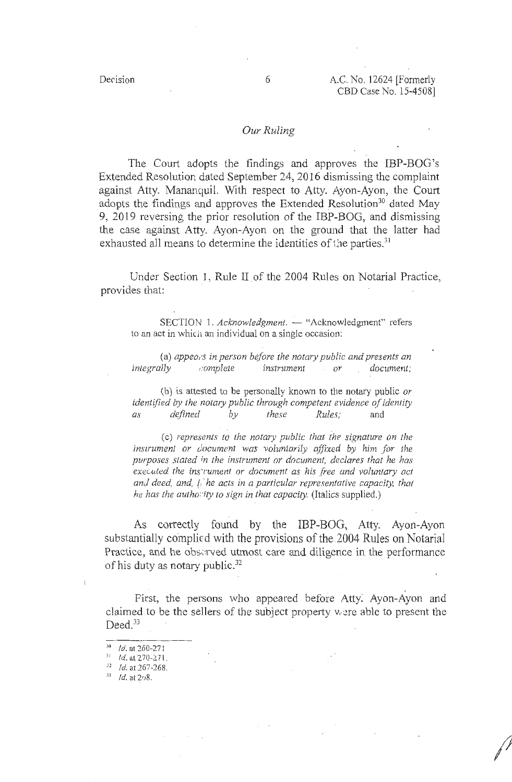/?I

### *Our Ruling*

The Court adopts the findings and approves the IBP-BOG's Extended Resolution dated September 24, 2016 dismissing the complaint against Atty. Mananquil. With respect to Atty. Ayon-Ayon, the Court adopts the findings and approves the Extended Resolution<sup>30</sup> dated May 9, 2019 reversing the prior resolution of the IBP-BOG, and dismissing the case against Atty. Ayon-Ayon on the ground that the latter had exhausted all means to determine the identities of the parties.<sup>31</sup>

Under Section 1, Rule II. of the 2004 Rules on Notarial Practice, provides that:

SECTION 1. *Acknowledgment.* - "Acknowledgment" refers to an act in which an individual on a single occasion:

(a) *appea,·s in person before the notary public and presents an integrally* , *:omplete instrument or document:* 

(b) is attested to be personally known to the notary public *or identified by the notary public through competent evidence of identity as defined by these Rules;* and

( c) *represenl.s to the notary public that the signature on the instrument or document was voluntarily affixed by him for the purposes stated in the instrument or document, declares that he has*  executed the ins<sup>+</sup>rument or document as his free and voluntary act *and deed, and, (;·he acts in a particular representative capacity, that he has the authority to sign in that capacity.* (Italics supplied.)

As correctly found by the IBP-BOG, Atty. Ayon-Ayon substantially complied with the provisions of the 2004 Rules on Notarial Practice, and he observed utmost care and diligence in the performance of his duty as notary public. $32$ 

First, the persons who appeared before Atty: Ayon-Ayon and claimed to be the sellers of the subject property were able to present the  $Deed.<sup>33</sup>$ 

 $10^{10}$  Id. at 260-271

 $1 d.$  at 270-271.

*\_; <sup>1</sup>*Id. at 267-268.

 $^{35}$  *Id.* at 208.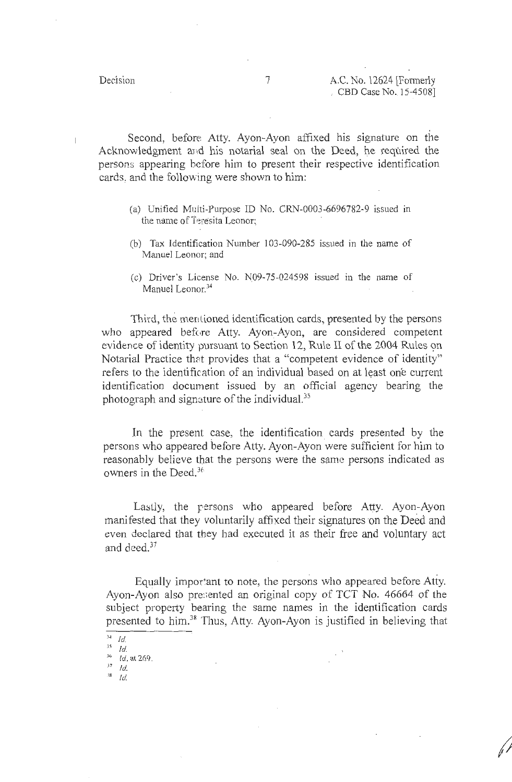;J;

Second, before Atty. Ayon-Ayon affixed his signature on the Acknowledgment and his notarial seal on the Deed, he required the persons appearing before him to present their respective identification cards, and the following were shown to him:

- (a) Unified Mclti-Purpose ID No. CRN-0003-6696782-9 issued in the name of Teresita Leonor;
- (b) Tax Identification Number 103-090-285 issued in the name of Manuel Leonor; and
- (c) Driver's License No.  $N09-75-024598$  issued in the name of Manuel Leonor.<sup>34</sup>

Third, the mentioned identification cards, presented by the persons who appeared before Atty. Ayon-Ayon, are considered competent evidence of identity pursuant to Section 12, Rule II of the 2004 Rules on Notarial Practice that provides that a "competent evidence of identity" refers to the identification of an individual based on at least one current identification docurnent issued by an official agency bearing the photograph and signature of the individual.<sup>35</sup>

In the present case, the identification cards presented by the persons who appeared before Atty. Ayon-Ayon were sufficient for him to reasonably believe that the persons were the same persons indicated as owners in the Deed.<sup>36</sup>

Lastly, the persons who appeared before Atty. Ayon-Ayon manifested that they voluntarily affixed their signatures on the Deed and even declared that they had executed it as their free and voluntary act and deed. $^{37}$ 

Equally important to note, the persons who appeared before Atty. Ayon-Ayon also pre:;ented an original copy of TCT No. 46664 of the subject property bearing the same names in the identification cards presented to him.<sup>38</sup> Thus, Atty. Ayon-Ayon is justified in believing that

 $\overline{\phantom{a}^{34} \phantom{a} Id.}$ 

 $35$  Id.

 $\frac{^{36}}{^{37}}$  *Id.* at 269.

 $\frac{38}{10}$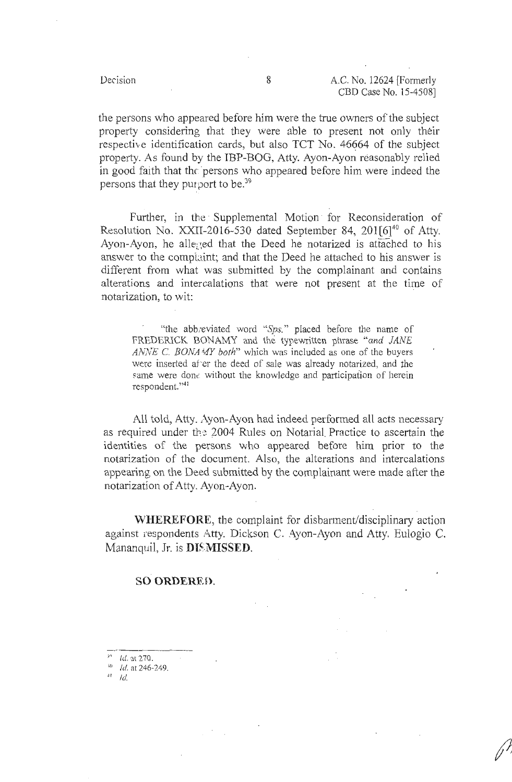ff!

the persons who appeared before him were the true owners of the subject property considering that they were able to present not only their respective identification cards, but also TCT No. 46664 of the subject property. As found by the IBP-BOG, Atty. Ayon-Ayon reasonably relied in good faith that the persons who appeared before him were indeed the persons that they purport to be.<sup>39</sup>

Further, in the Supplemental Motion for Reconsideration of Resolution No. XXII-2016-530 dated September 84,  $201[6]^{40}$  of Atty. Ayon-Ayon, he alleged that the Deed he notarized is attached to his answer to the complaint; and that the Deed he attached to his answer is different from what was submitted by the complainant and contains alterations and intercalations that were not present at the time of notarization, to wit:

"the abb; eviated word *''Sps."* placed before the name of FREDERICK BONAMY and the typewritten phrase *"and JANE ANNE* C. *BONA* 1*UY both"* which was included as one of the buyers were inserted after the deed of sale was already notarized, and the same were done without the knowledge and participation of herein respondent. "<sup>41</sup>

All told, Atty. Ayon-Ayon had indeed performed all acts necessary as required under the 2004 Rules on Notarial Practice to ascertain the identities of the persons who appeared before him prior to the notarization of the document. Also, the alterations and intercalations appearing on the Deed submitted by the complainant were made after the notarization of Atty. Ayon-Ayon.

**WHEREFORE,** the complaint for disbarment/disciplinary action against respondents Atty. Dickson C. Ayon-Ayon and Atty. Eulogio C. Mananquil, Jr. is **DISMISSED.** 

#### **SO ORDERED.**

 $1d$ . at  $270$ .

 $10$  Id. at 246-249.

 $^{4!}$  Id.